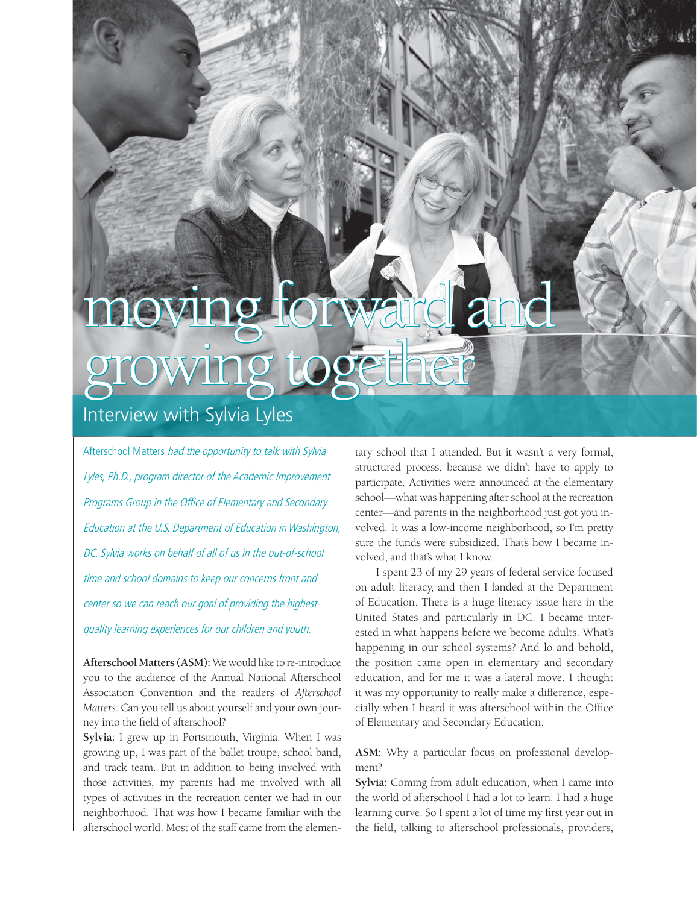## moving forward and growing together

## Interview with Sylvia Lyles

Afterschool Matters had the opportunity to talk with Sylvia Lyles, Ph.D., program director of the Academic Improvement Programs Group in the Office of Elementary and Secondary Education at the U.S. Department of Education in Washington, DC. Sylvia works on behalf of all of us in the out-of-school time and school domains to keep our concerns front and center so we can reach our goal of providing the highestquality learning experiences for our children and youth.

**Afterschool Matters (ASM):** We would like to re-introduce you to the audience of the Annual National Afterschool Association Convention and the readers of *Afterschool Matters*. Can you tell us about yourself and your own journey into the field of afterschool?

**Sylvia:** I grew up in Portsmouth, Virginia. When I was growing up, I was part of the ballet troupe, school band, and track team. But in addition to being involved with those activities, my parents had me involved with all types of activities in the recreation center we had in our neighborhood. That was how I became familiar with the afterschool world. Most of the staff came from the elementary school that I attended. But it wasn't a very formal, structured process, because we didn't have to apply to participate. Activities were announced at the elementary school—what was happening after school at the recreation center—and parents in the neighborhood just got you involved. It was a low-income neighborhood, so I'm pretty sure the funds were subsidized. That's how I became involved, and that's what I know.

I spent 23 of my 29 years of federal service focused on adult literacy, and then I landed at the Department of Education. There is a huge literacy issue here in the United States and particularly in DC. I became interested in what happens before we become adults. What's happening in our school systems? And lo and behold, the position came open in elementary and secondary education, and for me it was a lateral move. I thought it was my opportunity to really make a difference, especially when I heard it was afterschool within the Office of Elementary and Secondary Education.

**ASM:** Why a particular focus on professional development?

**Sylvia:** Coming from adult education, when I came into the world of afterschool I had a lot to learn. I had a huge learning curve. So I spent a lot of time my first year out in the field, talking to afterschool professionals, providers,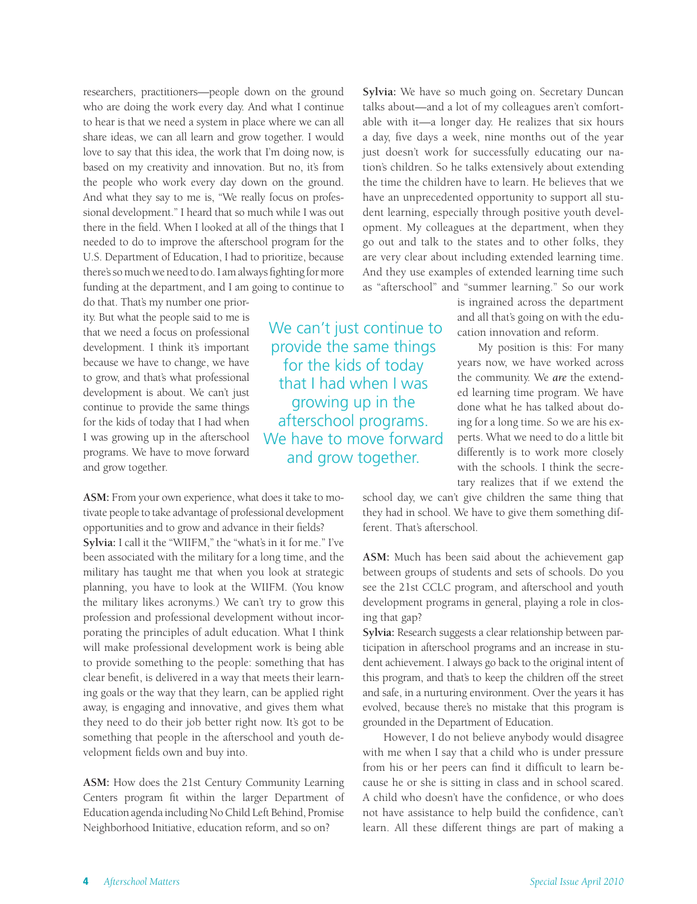researchers, practitioners—people down on the ground who are doing the work every day. And what I continue to hear is that we need a system in place where we can all share ideas, we can all learn and grow together. I would love to say that this idea, the work that I'm doing now, is based on my creativity and innovation. But no, it's from the people who work every day down on the ground. And what they say to me is, "We really focus on professional development." I heard that so much while I was out there in the field. When I looked at all of the things that I needed to do to improve the afterschool program for the U.S. Department of Education, I had to prioritize, because there's so much we need to do. I am always fighting for more funding at the department, and I am going to continue to

do that. That's my number one priority. But what the people said to me is that we need a focus on professional development. I think it's important because we have to change, we have to grow, and that's what professional development is about. We can't just continue to provide the same things for the kids of today that I had when I was growing up in the afterschool programs. We have to move forward and grow together.

**ASM:** From your own experience, what does it take to motivate people to take advantage of professional development opportunities and to grow and advance in their fields?

**Sylvia:** I call it the "WIIFM," the "what's in it for me." I've been associated with the military for a long time, and the military has taught me that when you look at strategic planning, you have to look at the WIIFM. (You know the military likes acronyms.) We can't try to grow this profession and professional development without incorporating the principles of adult education. What I think will make professional development work is being able to provide something to the people: something that has clear benefit, is delivered in a way that meets their learning goals or the way that they learn, can be applied right away, is engaging and innovative, and gives them what they need to do their job better right now. It's got to be something that people in the afterschool and youth development fields own and buy into.

**ASM:** How does the 21st Century Community Learning Centers program fit within the larger Department of Education agenda including No Child Left Behind, Promise Neighborhood Initiative, education reform, and so on?

**Sylvia:** We have so much going on. Secretary Duncan talks about—and a lot of my colleagues aren't comfortable with it—a longer day. He realizes that six hours a day, five days a week, nine months out of the year just doesn't work for successfully educating our nation's children. So he talks extensively about extending the time the children have to learn. He believes that we have an unprecedented opportunity to support all student learning, especially through positive youth development. My colleagues at the department, when they go out and talk to the states and to other folks, they are very clear about including extended learning time. And they use examples of extended learning time such as "afterschool" and "summer learning." So our work

 We can't just continue to provide the same things for the kids of today that I had when I was growing up in the afterschool programs. We have to move forward and grow together.

is ingrained across the department and all that's going on with the education innovation and reform.

My position is this: For many years now, we have worked across the community. We *are* the extended learning time program. We have done what he has talked about doing for a long time. So we are his experts. What we need to do a little bit differently is to work more closely with the schools. I think the secretary realizes that if we extend the

school day, we can't give children the same thing that they had in school. We have to give them something different. That's afterschool.

**ASM:** Much has been said about the achievement gap between groups of students and sets of schools. Do you see the 21st CCLC program, and afterschool and youth development programs in general, playing a role in closing that gap?

**Sylvia:** Research suggests a clear relationship between participation in afterschool programs and an increase in student achievement. I always go back to the original intent of this program, and that's to keep the children off the street and safe, in a nurturing environment. Over the years it has evolved, because there's no mistake that this program is grounded in the Department of Education.

However, I do not believe anybody would disagree with me when I say that a child who is under pressure from his or her peers can find it difficult to learn because he or she is sitting in class and in school scared. A child who doesn't have the confidence, or who does not have assistance to help build the confidence, can't learn. All these different things are part of making a